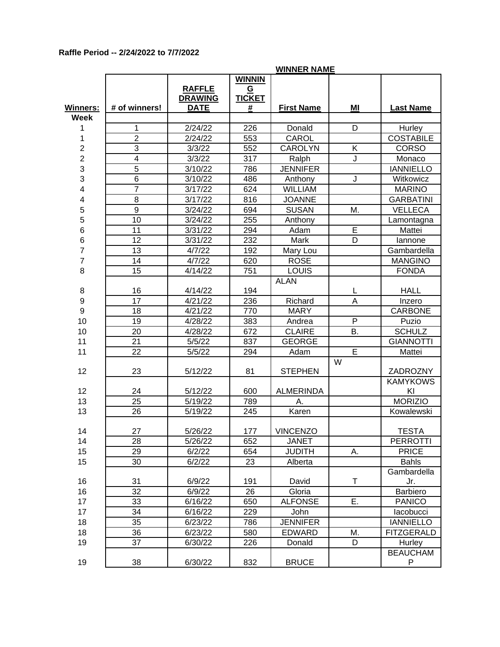## **Raffle Period -- 2/24/2022 to 7/7/2022**

|                         | <b>WINNER NAME</b> |                                                |                                                                 |                   |    |                       |  |  |
|-------------------------|--------------------|------------------------------------------------|-----------------------------------------------------------------|-------------------|----|-----------------------|--|--|
| <b>Winners:</b>         | # of winners!      | <b>RAFFLE</b><br><b>DRAWING</b><br><b>DATE</b> | <b>WINNIN</b><br>$\underline{\mathbf{G}}$<br><b>TICKET</b><br># | <b>First Name</b> | MI | <b>Last Name</b>      |  |  |
| <b>Week</b>             |                    |                                                |                                                                 |                   |    |                       |  |  |
| 1                       | $\mathbf{1}$       | 2/24/22                                        | 226                                                             | Donald            | D  | Hurley                |  |  |
| 1                       | $\overline{2}$     | 2/24/22                                        | 553                                                             | CAROL             |    | <b>COSTABILE</b>      |  |  |
| $\overline{\mathbf{c}}$ | 3                  | 3/3/22                                         | 552                                                             | <b>CAROLYN</b>    | Κ  | <b>CORSO</b>          |  |  |
| $\overline{2}$          | $\overline{4}$     | 3/3/22                                         | 317                                                             | Ralph             | J  | Monaco                |  |  |
| 3                       | $\overline{5}$     | 3/10/22                                        | 786                                                             | <b>JENNIFER</b>   |    | <b>IANNIELLO</b>      |  |  |
| 3                       | $\overline{6}$     | 3/10/22                                        | 486                                                             | Anthony           | J  | Witkowicz             |  |  |
| 4                       | $\overline{7}$     | 3/17/22                                        | 624                                                             | <b>WILLIAM</b>    |    | <b>MARINO</b>         |  |  |
| 4                       | 8                  | 3/17/22                                        | 816                                                             | <b>JOANNE</b>     |    | <b>GARBATINI</b>      |  |  |
| 5                       | $\boldsymbol{9}$   | 3/24/22                                        | 694                                                             | <b>SUSAN</b>      | M. | <b>VELLECA</b>        |  |  |
| 5                       | 10                 | 3/24/22                                        | 255                                                             | Anthony           |    | Lamontagna            |  |  |
| 6                       | 11                 | 3/31/22                                        | 294                                                             | Adam              | E  | Mattei                |  |  |
| 6                       | 12                 | 3/31/22                                        | 232                                                             | Mark              | D  | lannone               |  |  |
| $\overline{7}$          | 13                 | 4/7/22                                         | 192                                                             | Mary Lou          |    | Gambardella           |  |  |
| $\overline{7}$          | 14                 | 4/7/22                                         | 620                                                             | <b>ROSE</b>       |    | <b>MANGINO</b>        |  |  |
| 8                       | 15                 | 4/14/22                                        | 751                                                             | LOUIS             |    | <b>FONDA</b>          |  |  |
|                         |                    |                                                |                                                                 | <b>ALAN</b>       |    |                       |  |  |
| 8                       | 16                 | 4/14/22                                        | 194                                                             |                   | L  | <b>HALL</b>           |  |  |
| 9                       | 17                 | $\frac{1}{4/21/22}$                            | 236                                                             | Richard           | A  | Inzero                |  |  |
| 9                       | 18                 | 4/21/22                                        | 770                                                             | <b>MARY</b>       |    | <b>CARBONE</b>        |  |  |
| 10                      | 19                 | 4/28/22                                        | 383                                                             | Andrea            | P  | Puzio                 |  |  |
| 10                      | 20                 | 4/28/22                                        | 672                                                             | <b>CLAIRE</b>     | Β. | <b>SCHULZ</b>         |  |  |
| 11                      | 21                 | 5/5/22                                         | 837                                                             | <b>GEORGE</b>     |    | <b>GIANNOTTI</b>      |  |  |
| 11                      | 22                 | 5/5/22                                         | 294                                                             | Adam              | E  | Mattei                |  |  |
| 12                      | 23                 | 5/12/22                                        | 81                                                              | <b>STEPHEN</b>    | W  | ZADROZNY              |  |  |
| 12                      | 24                 | 5/12/22                                        | 600                                                             | <b>ALMERINDA</b>  |    | <b>KAMYKOWS</b><br>KI |  |  |
| 13                      | 25                 | 5/19/22                                        | 789                                                             | Α.                |    | <b>MORIZIO</b>        |  |  |
| 13                      | 26                 | 5/19/22                                        | 245                                                             | Karen             |    | Kowalewski            |  |  |
| 14                      | 27                 | 5/26/22                                        | 177                                                             | <b>VINCENZO</b>   |    | <b>TESTA</b>          |  |  |
| 14                      | 28                 | 5/26/22                                        | 652                                                             | <b>JANET</b>      |    | <b>PERROTTI</b>       |  |  |
| 15                      | 29                 | 6/2/22                                         | 654                                                             | <b>JUDITH</b>     | А. | <b>PRICE</b>          |  |  |
| 15                      | 30                 | 6/2/22                                         | 23                                                              | Alberta           |    | <b>Bahls</b>          |  |  |
| 16                      | 31                 | 6/9/22                                         | 191                                                             | David             | Τ  | Gambardella<br>Jr.    |  |  |
| 16                      | 32                 | 6/9/22                                         | 26                                                              | Gloria            |    | <b>Barbiero</b>       |  |  |
| 17                      | 33                 | 6/16/22                                        | 650                                                             | <b>ALFONSE</b>    | Ε. | <b>PANICO</b>         |  |  |
| 17                      | 34                 | 6/16/22                                        | 229                                                             | John              |    | lacobucci             |  |  |
| 18                      | 35                 | 6/23/22                                        | 786                                                             | <b>JENNIFER</b>   |    | <b>IANNIELLO</b>      |  |  |
| 18                      | 36                 | 6/23/22                                        | 580                                                             | <b>EDWARD</b>     | М. | <b>FITZGERALD</b>     |  |  |
| 19                      | 37                 | 6/30/22                                        | 226                                                             | Donald            | D  | Hurley                |  |  |
| 19                      | 38                 | 6/30/22                                        | 832                                                             | <b>BRUCE</b>      |    | <b>BEAUCHAM</b><br>P  |  |  |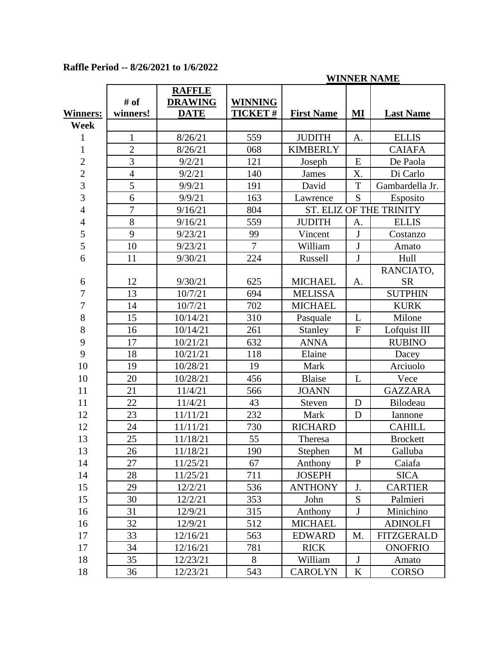**Raffle Period -- 8/26/2021 to 1/6/2022**

|                  |                |                                 |                | VV LINNER INAIVLE    |                         |                         |  |
|------------------|----------------|---------------------------------|----------------|----------------------|-------------------------|-------------------------|--|
|                  | # of           | <b>RAFFLE</b><br><b>DRAWING</b> | <b>WINNING</b> |                      |                         |                         |  |
| <b>Winners:</b>  | winners!       | <b>DATE</b>                     | <b>TICKET#</b> | <b>First Name</b>    | MI                      | <b>Last Name</b>        |  |
| <b>Week</b>      |                |                                 |                |                      |                         |                         |  |
| $\mathbf{1}$     | 1              | 8/26/21                         | 559            | <b>JUDITH</b>        | A.                      | <b>ELLIS</b>            |  |
| 1                | $\overline{c}$ | 8/26/21                         | 068            | <b>KIMBERLY</b>      |                         | <b>CAIAFA</b>           |  |
| $\overline{c}$   | 3              | 9/2/21                          | 121            | Joseph               | ${\bf E}$               | De Paola                |  |
| $\overline{c}$   | $\overline{4}$ | 9/2/21                          | 140            | James                | X.                      | Di Carlo                |  |
| 3                | $\overline{5}$ | 9/9/21                          | 191            | David                | T                       | Gambardella Jr.         |  |
| $\overline{3}$   | 6              | 9/9/21                          | 163            | Lawrence             | S                       | Esposito                |  |
| 4                | $\overline{7}$ | 9/16/21                         | 804            |                      |                         | ST. ELIZ OF THE TRINITY |  |
| $\overline{4}$   | $8\,$          | 9/16/21                         | 559            | <b>JUDITH</b>        | A.                      | <b>ELLIS</b>            |  |
| 5                | 9              | 9/23/21                         | 99             | Vincent              | $\mathbf{J}$            | Costanzo                |  |
| 5                | 10             | 9/23/21                         | $\overline{7}$ | William              | ${\bf J}$               | Amato                   |  |
| 6                | 11             | 9/30/21                         | 224            | Russell              | $\mathbf J$             | Hull                    |  |
|                  |                |                                 |                |                      |                         | RANCIATO,               |  |
| 6                | 12             | 9/30/21                         | 625            | <b>MICHAEL</b>       | A.                      | <b>SR</b>               |  |
| $\boldsymbol{7}$ | 13             | 10/7/21                         | 694            | <b>MELISSA</b>       |                         | <b>SUTPHIN</b>          |  |
| $\overline{7}$   | 14             | 10/7/21                         | 702            | <b>MICHAEL</b>       |                         | <b>KURK</b>             |  |
| 8                | 15             | 10/14/21                        | 310            | Pasquale             | L                       | Milone                  |  |
| 8                | 16             | 10/14/21                        | 261            | Stanley              | $\overline{F}$          | Lofquist III            |  |
| 9                | 17             | 10/21/21                        | 632            | <b>ANNA</b>          |                         | <b>RUBINO</b>           |  |
| 9                | 18             | 10/21/21                        | 118            | Elaine               |                         | Dacey                   |  |
| 10               | 19             | 10/28/21                        | 19             | Mark                 |                         | Arciuolo                |  |
| 10               | 20             | 10/28/21                        | 456            | <b>Blaise</b>        | L                       | Vece                    |  |
| 11               | 21             | 11/4/21                         | 566            | <b>JOANN</b>         |                         | <b>GAZZARA</b>          |  |
| 11               | 22             | 11/4/21                         | 43             | Steven               | D                       | Bilodeau                |  |
| 12               | 23             | 11/11/21                        | 232            | Mark                 | D                       | Iannone                 |  |
| 12               | 24             | 11/11/21                        | 730            | <b>RICHARD</b>       |                         | <b>CAHILL</b>           |  |
| 13               | 25             | 11/18/21                        | 55             | Theresa              |                         | <b>Brockett</b>         |  |
| 13               | 26             | 11/18/21                        | 190            | Stephen              | M                       | Galluba                 |  |
| 14               | 27             | 11/25/21                        | 67             | Anthony              | ${\bf P}$               | Caiafa                  |  |
| 14               | 28             | 11/25/21                        | 711            | <b>JOSEPH</b>        |                         | <b>SICA</b>             |  |
| 15               | 29             | 12/2/21                         | 536            | <b>ANTHONY</b>       | J.                      |                         |  |
| 15               | 30             | 12/2/21                         | 353            | John                 | S                       | Palmieri                |  |
| 16               | 31             | 12/9/21                         | 315            | Anthony<br>${\bf J}$ |                         | Minichino               |  |
| 16               | 32             | 12/9/21                         | 512            | <b>MICHAEL</b>       |                         | <b>ADINOLFI</b>         |  |
| 17               | 33             | 12/16/21                        | 563            | <b>EDWARD</b>        | M.<br><b>FITZGERALD</b> |                         |  |
| 17               | 34             | 12/16/21                        | 781            | <b>RICK</b>          |                         | <b>ONOFRIO</b>          |  |
| 18               | 35             | 12/23/21                        | 8              | William              | $\bf J$                 | Amato                   |  |
| 18               | 36             | 12/23/21                        | 543            | <b>CAROLYN</b>       | $\bf K$                 | <b>CORSO</b>            |  |

**WINNER NAME**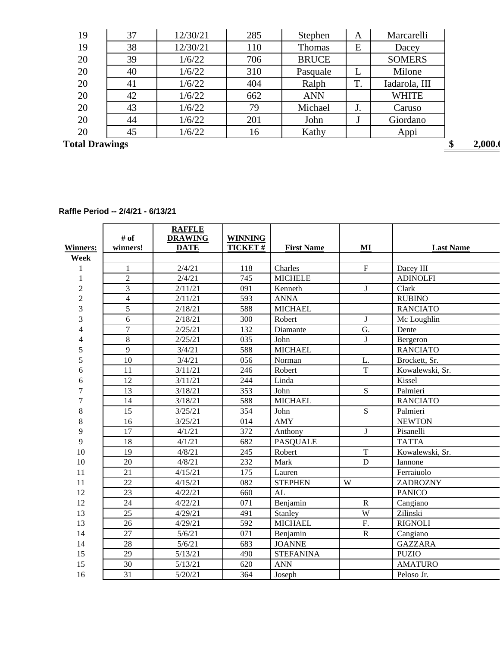| 19                    | 37 | 12/30/21 | 285 | Stephen       | A  | Marcarelli    |  |  |
|-----------------------|----|----------|-----|---------------|----|---------------|--|--|
| 19                    | 38 | 12/30/21 | 110 | <b>Thomas</b> | E  | Dacey         |  |  |
| 20                    | 39 | 1/6/22   | 706 | <b>BRUCE</b>  |    | <b>SOMERS</b> |  |  |
| 20                    | 40 | 1/6/22   | 310 | Pasquale      | ⊥  | Milone        |  |  |
| 20                    | 41 | 1/6/22   | 404 | Ralph         | T. | Iadarola, III |  |  |
| 20                    | 42 | 1/6/22   | 662 | <b>ANN</b>    |    | <b>WHITE</b>  |  |  |
| 20                    | 43 | 1/6/22   | 79  | Michael       | J. | Caruso        |  |  |
| 20                    | 44 | 1/6/22   | 201 | John          |    | Giordano      |  |  |
| 20                    | 45 | 1/6/22   | 16  | Kathy         |    | Appi          |  |  |
| <b>Total Drawings</b> |    |          |     |               |    |               |  |  |

## **Raffle Period -- 2/4/21 - 6/13/21**

|                 | # of            | <b>RAFFLE</b><br><b>DRAWING</b> | <b>WINNING</b> |                   |                |                  |
|-----------------|-----------------|---------------------------------|----------------|-------------------|----------------|------------------|
| <b>Winners:</b> | winners!        | <b>DATE</b>                     | <b>TICKET#</b> | <b>First Name</b> | $\bf{MI}$      | <b>Last Name</b> |
| <b>Week</b>     |                 | 2/4/21                          |                |                   | $\mathbf F$    |                  |
| 1               | 1               |                                 | 118            | Charles           |                | Dacey III        |
|                 | $\overline{2}$  | 2/4/21                          | 745            | <b>MICHELE</b>    |                | <b>ADINOLFI</b>  |
| 2               | 3               | 2/11/21                         | 091            | Kenneth           | J              | Clark            |
| $\overline{c}$  | $\overline{4}$  | 2/11/21                         | 593            | <b>ANNA</b>       |                | <b>RUBINO</b>    |
| 3               | 5               | 2/18/21                         | 588            | <b>MICHAEL</b>    |                | <b>RANCIATO</b>  |
| 3               | 6               | 2/18/21                         | 300            | Robert            | $\bf J$        | Mc Loughlin      |
| 4               | $\overline{7}$  | 2/25/21                         | 132            | Diamante          | G.             | Dente            |
| 4               | $\,8\,$         | 2/25/21                         | 035            | John              | $\mathbf{J}$   | Bergeron         |
| 5               | 9               | 3/4/21                          | 588            | <b>MICHAEL</b>    |                | <b>RANCIATO</b>  |
| 5               | 10              | 3/4/21                          | 056            | Norman            | L.             | Brockett, Sr.    |
| 6               | 11              | 3/11/21                         | 246            | Robert            | $\mathbf T$    | Kowalewski, Sr.  |
| 6               | 12              | 3/11/21                         | 244            | Linda             |                | Kissel           |
|                 | $\overline{13}$ | 3/18/21                         | 353            | John              | $\overline{S}$ | Palmieri         |
|                 | 14              | 3/18/21                         | 588            | <b>MICHAEL</b>    |                | <b>RANCIATO</b>  |
| 8               | 15              | 3/25/21                         | 354            | John              | S              | Palmieri         |
| 8               | 16              | 3/25/21                         | 014            | <b>AMY</b>        |                | <b>NEWTON</b>    |
| 9               | 17              | 4/1/21                          | 372            | Anthony           | $\bf J$        | Pisanelli        |
| 9               | 18              | 4/1/21                          | 682            | <b>PASQUALE</b>   |                | <b>TATTA</b>     |
| 10              | 19              | 4/8/21                          | 245            | Robert            | $\mathbf T$    | Kowalewski, Sr.  |
| 10              | 20              | 4/8/21                          | 232            | Mark              | $\mathbf D$    | Iannone          |
| 11              | 21              | 4/15/21                         | 175            | Lauren            |                | Ferraiuolo       |
| 11              | 22              | 4/15/21                         | 082            | <b>STEPHEN</b>    | W              | ZADROZNY         |
| 12              | 23              | 4/22/21                         | 660            | AL                |                | <b>PANICO</b>    |
| 12              | 24              | 4/22/21                         | 071            | Benjamin          | ${\bf R}$      | Cangiano         |
| 13              | $\overline{25}$ | 4/29/21                         | 491            | Stanley           | $\overline{W}$ | Zilinski         |
| 13              | 26              | 4/29/21                         | 592            | <b>MICHAEL</b>    | F.             | <b>RIGNOLI</b>   |
| 14              | 27              | 5/6/21                          | 071            | Benjamin          | ${\bf R}$      | Cangiano         |
| 14              | 28              | 5/6/21                          | 683            | <b>JOANNE</b>     |                | <b>GAZZARA</b>   |
| 15              | 29              | 5/13/21                         | 490            | <b>STEFANINA</b>  |                | <b>PUZIO</b>     |
| 15              | 30              | 5/13/21                         | 620            | <b>ANN</b>        |                | <b>AMATURO</b>   |
| 16              | $\overline{31}$ | 5/20/21                         | 364            | Joseph            |                | Peloso Jr.       |
|                 |                 |                                 |                |                   |                |                  |